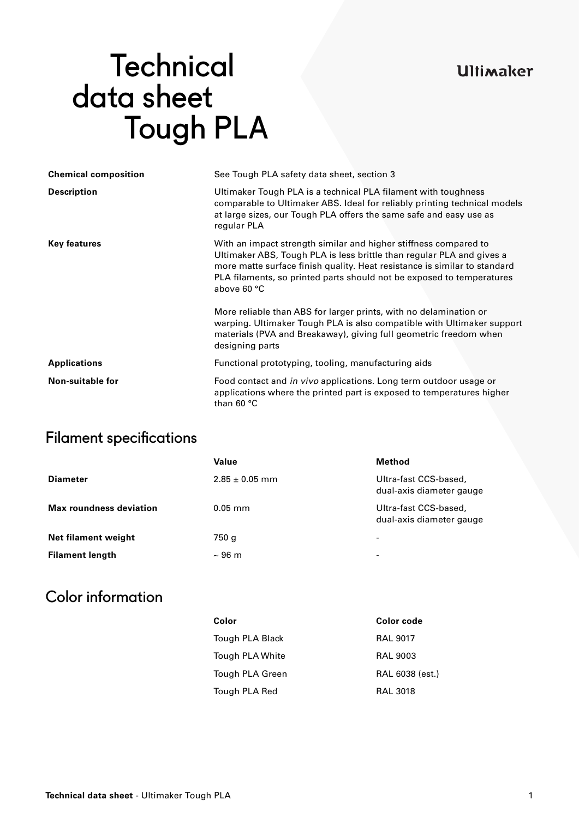#### **Ultimaker**

# **Technical**  data sheet Tough PLA

| <b>Chemical composition</b> | See Tough PLA safety data sheet, section 3                                                                                                                                                                                                                                                                     |  |  |
|-----------------------------|----------------------------------------------------------------------------------------------------------------------------------------------------------------------------------------------------------------------------------------------------------------------------------------------------------------|--|--|
| <b>Description</b>          | Ultimaker Tough PLA is a technical PLA filament with toughness<br>comparable to Ultimaker ABS. Ideal for reliably printing technical models<br>at large sizes, our Tough PLA offers the same safe and easy use as<br>regular PLA                                                                               |  |  |
| <b>Key features</b>         | With an impact strength similar and higher stiffness compared to<br>Ultimaker ABS, Tough PLA is less brittle than regular PLA and gives a<br>more matte surface finish quality. Heat resistance is similar to standard<br>PLA filaments, so printed parts should not be exposed to temperatures<br>above 60 °C |  |  |
|                             | More reliable than ABS for larger prints, with no delamination or<br>warping. Ultimaker Tough PLA is also compatible with Ultimaker support<br>materials (PVA and Breakaway), giving full geometric freedom when<br>designing parts                                                                            |  |  |
| <b>Applications</b>         | Functional prototyping, tooling, manufacturing aids                                                                                                                                                                                                                                                            |  |  |
| <b>Non-suitable for</b>     | Food contact and in vivo applications. Long term outdoor usage or<br>applications where the printed part is exposed to temperatures higher<br>than 60 $°C$                                                                                                                                                     |  |  |

### Filament specifications

|                                | Value              | Method                                            |
|--------------------------------|--------------------|---------------------------------------------------|
| <b>Diameter</b>                | $2.85 \pm 0.05$ mm | Ultra-fast CCS-based,<br>dual-axis diameter gauge |
| <b>Max roundness deviation</b> | $0.05$ mm          | Ultra-fast CCS-based,<br>dual-axis diameter gauge |
| Net filament weight            | 750 g              | $\overline{\phantom{a}}$                          |
| <b>Filament length</b>         | $\sim$ 96 m        | $\overline{\phantom{a}}$                          |

## Color information

| Color                  | Color code      |
|------------------------|-----------------|
| Tough PLA Black        | <b>RAL 9017</b> |
| Tough PLA White        | <b>RAL 9003</b> |
| <b>Tough PLA Green</b> | RAL 6038 (est.) |
| Tough PLA Red          | <b>RAL 3018</b> |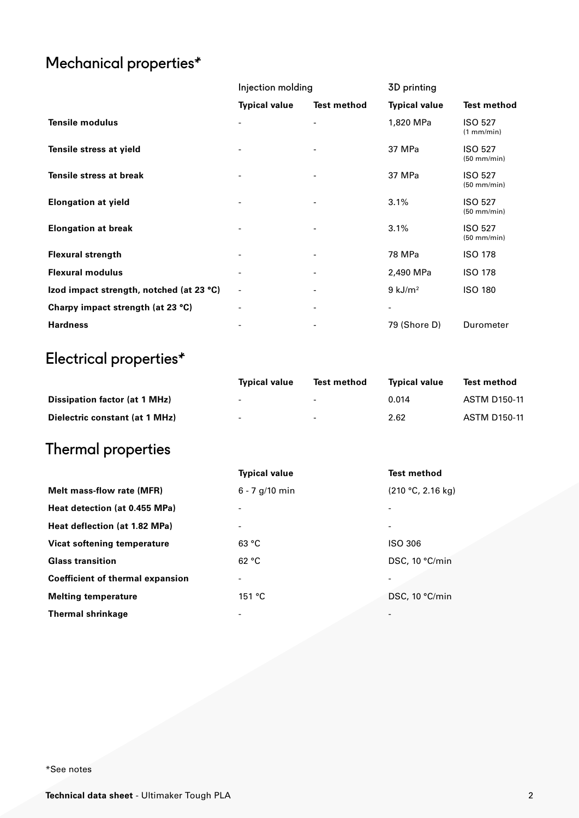## Mechanical properties\*

|                                          | Injection molding            |                          | 3D printing           |                                         |
|------------------------------------------|------------------------------|--------------------------|-----------------------|-----------------------------------------|
|                                          | <b>Typical value</b>         | <b>Test method</b>       | <b>Typical value</b>  | <b>Test method</b>                      |
| <b>Tensile modulus</b>                   | $\overline{\phantom{a}}$     |                          | 1,820 MPa             | <b>ISO 527</b><br>(1 mm/min)            |
| Tensile stress at yield                  | $\overline{\phantom{a}}$     | $\overline{\phantom{a}}$ | 37 MPa                | <b>ISO 527</b><br>$(50$ mm/min)         |
| Tensile stress at break                  | $\overline{\phantom{a}}$     | $\overline{\phantom{a}}$ | 37 MPa                | <b>ISO 527</b><br>$(50 \text{ mm/min})$ |
| <b>Elongation at yield</b>               | $\overline{\phantom{a}}$     | $\overline{\phantom{a}}$ | 3.1%                  | <b>ISO 527</b><br>$(50$ mm/min)         |
| <b>Elongation at break</b>               | $\overline{\phantom{a}}$     | $\overline{\phantom{a}}$ | 3.1%                  | <b>ISO 527</b><br>$(50$ mm/min)         |
| <b>Flexural strength</b>                 | $\overline{\phantom{a}}$     | $\overline{\phantom{a}}$ | 78 MPa                | <b>ISO 178</b>                          |
| <b>Flexural modulus</b>                  | $\qquad \qquad \blacksquare$ |                          | 2,490 MPa             | <b>ISO 178</b>                          |
| Izod impact strength, notched (at 23 °C) | $\overline{\phantom{a}}$     | -                        | $9$ kJ/m <sup>2</sup> | <b>ISO 180</b>                          |
| Charpy impact strength (at 23 °C)        | $\overline{\phantom{a}}$     | -                        |                       |                                         |
| <b>Hardness</b>                          |                              |                          | 79 (Shore D)          | Durometer                               |

## Electrical properties\*

|                                | <b>Typical value</b>     | <b>Test method</b>       | <b>Typical value</b> | Test method         |
|--------------------------------|--------------------------|--------------------------|----------------------|---------------------|
| Dissipation factor (at 1 MHz)  | $\overline{\phantom{0}}$ | $\overline{\phantom{0}}$ | 0.014                | ASTM D150-11        |
| Dielectric constant (at 1 MHz) | $\overline{\phantom{0}}$ | $\sim$                   | 2.62                 | <b>ASTM D150-11</b> |

## Thermal properties

|                                         | <b>Typical value</b> | <b>Test method</b>       |
|-----------------------------------------|----------------------|--------------------------|
| Melt mass-flow rate (MFR)               | $6 - 7$ g/10 min     | (210 °C, 2.16 kg)        |
| Heat detection (at 0.455 MPa)           | $\overline{a}$       |                          |
| Heat deflection (at 1.82 MPa)           |                      |                          |
| Vicat softening temperature             | 63 °C                | ISO 306                  |
| <b>Glass transition</b>                 | 62 °C                | DSC, 10 °C/min           |
| <b>Coefficient of thermal expansion</b> | $\overline{a}$       |                          |
| <b>Melting temperature</b>              | 151 °C               | DSC, 10 °C/min           |
| <b>Thermal shrinkage</b>                | -                    | $\overline{\phantom{0}}$ |

\*See notes